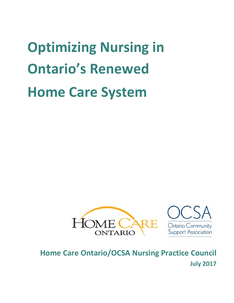**Optimizing Nursing in Ontario's Renewed Home Care System** 





# **Home Care Ontario/OCSA Nursing Practice Council July 2017**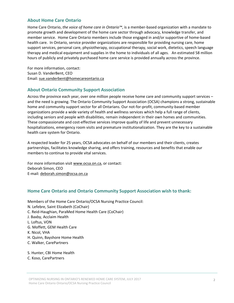#### **About Home Care Ontario**

Home Care Ontario, *the voice of home care in Ontario™*, is a member‐based organization with a mandate to promote growth and development of the home care sector through advocacy, knowledge transfer, and member service. Home Care Ontario members include those engaged in and/or supportive of home-based health care. In Ontario, service provider organizations are responsible for providing nursing care, home support services, personal care, physiotherapy, occupational therapy, social work, dietetics, speech language therapy and medical equipment and supplies in the home to individuals of all ages. An estimated 58 million hours of publicly and privately purchased home care service is provided annually across the province.

For more information, contact: Susan D. VanderBent, CEO Email: sue.vanderbent@homecareontario.ca

#### **About Ontario Community Support Association**

Across the province each year, over one million people receive home care and community support services – and the need is growing. The Ontario Community Support Association (OCSA) champions a strong, sustainable home and community support sector for all Ontarians. Our not-for-profit, community-based member organizations provide a wide variety of health and wellness services which help a full range of clients, including seniors and people with disabilities, remain independent in their own homes and communities. These compassionate and cost-effective services improve quality of life and prevent unnecessary hospitalizations, emergency room visits and premature institutionalization. They are the key to a sustainable health care system for Ontario.

A respected leader for 25 years, OCSA advocates on behalf of our members and their clients, creates partnerships, facilitates knowledge sharing, and offers training, resources and benefits that enable our members to continue to provide vital services.

For more information visit www.ocsa.on.ca, or contact: Deborah Simon, CEO E‐mail: deborah.simon@ocsa.on.ca

#### **Home Care Ontario and Ontario Community Support Association wish to thank:**

- Members of the Home Care Ontario/OCSA Nursing Practice Council: N. Lefebre, Saint Elizabeth (CoChair) C. Reid‐Haughian, ParaMed Home Health Care (CoChair) J. Baxby, Acclaim Health L. Loftus, VON G. Moffett, GEM Health Care
- K. Nicol, VHA
- H. Quinn, Bayshore Home Health
- C. Walker, CarePartners
- S. Hunter, CBI Home Health
- C. Koso, CarePartners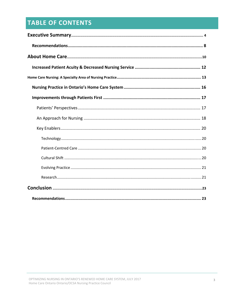## **TABLE OF CONTENTS**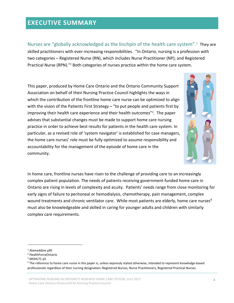## **EXECUTIVE SUMMARY**

Nurses are "globally acknowledged as the linchpin of the health care system".<sup>1</sup> They are skilled practitioners with ever‐increasing responsibilities. "In Ontario, nursing is a profession with two categories – Registered Nurse (RN), which includes Nurse Practitioner (NP); and Registered Practical Nurse (RPN)."2 Both categories of nurses practice within the home care system.

This paper, produced by Home Care Ontario and the Ontario Community Support Association on behalf of their Nursing Practice Council highlights the ways in which the contribution of the frontline home care nurse can be optimized to align with the vision of the Patients First Strategy – "to put people and patients first by improving their health care experience and their health outcomes"<sup>3</sup>. The paper advises that substantial changes must be made to support home care nursing practice in order to achieve best results for patients in the health care system. In particular, as a revised role of 'system navigator' is established for case managers, the home care nurses' role must be fully optimized to assume responsibility and accountability for the management of the episode of home care in the community.



In home care, frontline nurses have risen to the challenge of providing care to an increasingly complex patient population. The needs of patients receiving government‐funded home care in Ontario are rising in levels of complexity and acuity. Patients' needs range from close monitoring for early signs of failure to peritoneal or hemodialysis, chemotherapy, pain management, complex wound treatments and chronic ventilator care. While most patients are elderly, home care nurses<sup>4</sup> must also be knowledgeable and skilled in caring for younger adults and children with similarly complex care requirements.

<sup>3</sup> MOHLTC p5

<sup>1</sup> Alameddine p85

<sup>2</sup> HealthForceOntario

<sup>4</sup> The reference to home care nurse in this paper is, unless expressly stated otherwise, intended to represent knowledge-based professionals regardless of their nursing designation: Registered Nurses, Nurse Practitioners, Registered Practical Nurses.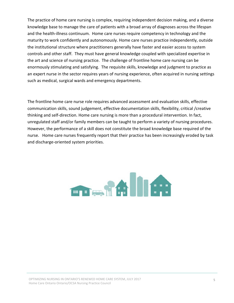The practice of home care nursing is complex, requiring independent decision making, and a diverse knowledge base to manage the care of patients with a broad array of diagnoses across the lifespan and the health‐illness continuum. Home care nurses require competency in technology and the maturity to work confidently and autonomously. Home care nurses practice independently, outside the institutional structure where practitioners generally have faster and easier access to system controls and other staff. They must have general knowledge coupled with specialized expertise in the art and science of nursing practice. The challenge of frontline home care nursing can be enormously stimulating and satisfying. The requisite skills, knowledge and judgment to practice as an expert nurse in the sector requires years of nursing experience, often acquired in nursing settings such as medical, surgical wards and emergency departments.

The frontline home care nurse role requires advanced assessment and evaluation skills, effective communication skills, sound judgement, effective documentation skills, flexibility, critical /creative thinking and self‐direction. Home care nursing is more than a procedural intervention. In fact, unregulated staff and/or family members can be taught to perform a variety of nursing procedures. However, the performance of a skill does not constitute the broad knowledge base required of the nurse. Home care nurses frequently report that their practice has been increasingly eroded by task and discharge‐oriented system priorities.

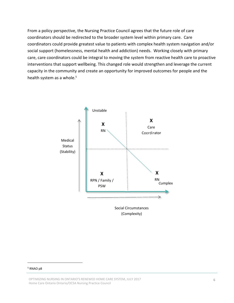From a policy perspective, the Nursing Practice Council agrees that the future role of care coordinators should be redirected to the broader system level within primary care. Care coordinators could provide greatest value to patients with complex health system navigation and/or social support (homelessness, mental health and addiction) needs. Working closely with primary care, care coordinators could be integral to moving the system from reactive health care to proactive interventions that support wellbeing. This changed role would strengthen and leverage the current capacity in the community and create an opportunity for improved outcomes for people and the health system as a whole.<sup>5</sup>



#### <sup>5</sup> RNAO p8

OPTIMIZING NURSING IN ONTARIO'S RENEWED HOME CARE SYSTEM, JULY 2017 Home Care Ontario Ontario/OCSA Nursing Practice Council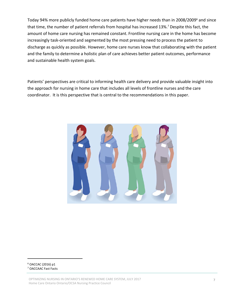Today 94% more publicly funded home care patients have higher needs than in 2008/2009<sup>6</sup> and since that time, the number of patient referrals from hospital has increased 13%.7 Despite this fact, the amount of home care nursing has remained constant. Frontline nursing care in the home has become increasingly task‐oriented and segmented by the most pressing need to process the patient to discharge as quickly as possible. However, home care nurses know that collaborating with the patient and the family to determine a holistic plan of care achieves better patient outcomes, performance and sustainable health system goals.

Patients' perspectives are critical to informing health care delivery and provide valuable insight into the approach for nursing in home care that includes all levels of frontline nurses and the care coordinator. It is this perspective that is central to the recommendations in this paper.



#### <sup>6</sup> OACCAC (2016) p1 <sup>7</sup> OACCAAC Fast Facts

OPTIMIZING NURSING IN ONTARIO'S RENEWED HOME CARE SYSTEM, JULY 2017 Home Care Ontario Ontario/OCSA Nursing Practice Council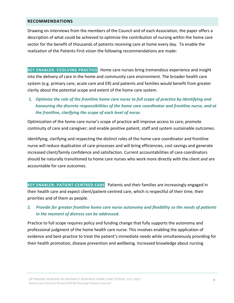#### **RECOMMENDATIONS**

Drawing on interviews from the members of the Council and of each Association, the paper offers a description of what could be achieved to optimize the contribution of nursing within the home care sector for the benefit of thousands of patients receiving care at home every day. To enable the realization of the Patients First vision the following recommendations are made:

**KEY ENABLER: EVOLVING PRACTICE** Home care nurses bring tremendous experience and insight into the delivery of care in the home and community care environment. The broader health care system (e.g. primary care, acute care and ER) and patients and families would benefit from greater clarity about the potential scope and extent of the home care system.

**1.** *Optimize the role of the frontline home care nurse to full scope of practice by identifying and honouring the discrete responsibilities of the home care coordinator and frontline nurse, and at the frontline, clarifying the scope of each level of nurse.*

Optimization of the home care nurse's scope of practice will improve access to care; promote continuity of care and caregiver; and enable positive patient, staff and system sustainable outcomes.

Identifying, clarifying and respecting the distinct roles of the home care coordinator and frontline nurse will reduce duplication of care processes and will bring efficiencies, cost savings and generate increased client/family confidence and satisfaction. Current accountabilities of care coordinators should be naturally transitioned to home care nurses who work more directly with the client and are accountable for care outcomes.

**KEY ENABLER: PATIENT‐CENTRED CARE** Patients and their families are increasingly engaged in their health care and expect client/patient‐centred care, which is respectful of their time, their priorities and of them as people.

### **2.** *Provide for greater frontline home care nurse autonomy and flexibility so the needs of patients in the moment of distress can be addressed.*

Practice to full scope requires policy and funding change that fully supports the autonomy and professional judgment of the home health care nurse. This involves enabling the application of evidence and best‐practice to treat the patient's immediate needs while simultaneously providing for their health promotion, disease prevention and wellbeing. Increased knowledge about nursing

OPTIMIZING NURSING IN ONTARIO'S RENEWED HOME CARE SYSTEM, JULY 2017 Home Care Ontario Ontario/OCSA Nursing Practice Council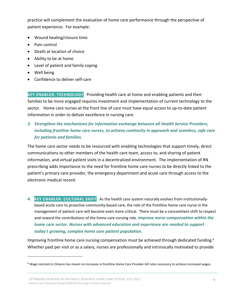practice will complement the evaluation of home care performance through the perspective of patient experience. For example:

- Wound healing/closure time
- Pain control
- Death at location of choice
- Ability to be at home
- Level of patient and family coping
- Well being
- Confidence to deliver self-care

**KEY ENABLER: TECHNOLOGY** Providing health care at home and enabling patients and their families to be more engaged requires investment and implementation of current technology to the sector. Home care nurses at the front line of care must have equal access to up-to-date patient information in order to deliver excellence in nursing care.

## *3. Strengthen the mechanisms for information exchange between all Health Service Providers, including frontline home care nurses, to achieve continuity in approach and seamless, safe care for patients and families.*

The home care sector needs to be resourced with enabling technologies that support timely, direct communications to other members of the health care team, access to, and sharing of patient information, and virtual patient visits in a decentralized environment. The implementation of RN prescribing adds importance to the need for frontline home care nurses to be directly linked to the patient's primary care provider, the emergency department and acute care through access to the electronic medical record.

*4.* **KEY ENABLER: CULTURAL SHIFT** As the health care system naturally evolves from institutionally‐ based acute care to proactive community-based care, the role of the frontline home care nurse in the management of patient care will become even more critical. There must be a concomitant shift to respect and reward the contributions of the home care nursing role. *Improve nurse compensation within the home care sector. Nurses with advanced education and experience are needed to support today's growing, complex home care patient population.*

Improving frontline home care nursing compensation must be achieved through dedicated funding.<sup>8</sup> Whether paid per visit or as a salary, nurses are professionally and intrinsically motivated to provide

<sup>&</sup>lt;sup>8</sup> Wage restraint in Ontario has meant no increases in frontline Home Care Provider bill rates necessary to achieve increased wages.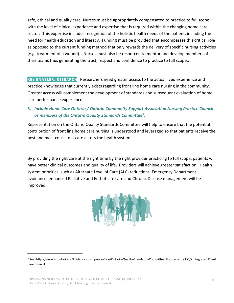safe, ethical and quality care. Nurses must be appropriately compensated to practice to full scope with the level of clinical experience and expertise that is required within the changing home care sector. This expertise includes recognition of the holistic health needs of the patient, including the need for health education and literacy. Funding must be provided that encompasses this critical role as opposed to the current funding method that only rewards the delivery of specific nursing activities (e.g. treatment of a wound). Nurses must also be resourced to mentor and develop members of their teams thus generating the trust, respect and confidence to practice to full scope..

**KEY ENABLER: RESEARCH** Researchers need greater access to the actual lived experience and practice knowledge that currently exists regarding front line home care nursing in the community. Greater access will complement the development of standards and subsequent evaluation of home care performance experience.

### **5.** *Include Home Care Ontario / Ontario Community Support Association Nursing Practice Council as members of the Ontario Quality Standards Committee9***.**

Representation on the Ontario Quality Standards Committee will help to ensure that the potential contribution of front line home care nursing is understood and leveraged so that patients receive the best and most consistent care across the health system.

By providing the right care at the right time by the right provider practicing to full scope, patients will have better clinical outcomes and quality of life. Providers will achieve greater satisfaction. Health system priorities, such as Alternate Level of Care (ALC) reductions, Emergency Department avoidance, enhanced Palliative and End‐of‐Life care and Chronic Disease management will be improved..



<sup>9</sup> See: http://www.hqontario.ca/Evidence‐to‐Improve‐Care/Ontario‐Quality‐Standards‐Committee. Formerly the HQO Integrated Client Care Council.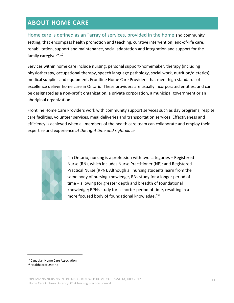## **ABOUT HOME CARE**

Home care is defined as an "array of services, provided in the home and community setting, that encompass health promotion and teaching, curative intervention, end-of-life care, rehabilitation, support and maintenance, social adaptation and integration and support for the family caregiver".10

Services within home care include nursing, personal support/homemaker, therapy (including physiotherapy, occupational therapy, speech language pathology, social work, nutrition/dietetics), medical supplies and equipment. Frontline Home Care Providers that meet high standards of excellence deliver home care in Ontario. These providers are usually incorporated entities, and can be designated as a non‐profit organization, a private corporation, a municipal government or an aboriginal organization

Frontline Home Care Providers work with community support services such as day programs, respite care facilities, volunteer services, meal deliveries and transportation services. Effectiveness and efficiency is achieved when all members of the health care team can collaborate and employ their expertise and experience *at the right time and right place.*



"In Ontario, nursing is a profession with two categories – Registered Nurse (RN), which includes Nurse Practitioner (NP); and Registered Practical Nurse (RPN). Although all nursing students learn from the same body of nursing knowledge, RNs study for a longer period of time – allowing for greater depth and breadth of foundational knowledge; RPNs study for a shorter period of time, resulting in a more focused body of foundational knowledge."11

<sup>10</sup> Canadian Home Care Association

<sup>11</sup> HealthForceOntario

OPTIMIZING NURSING IN ONTARIO'S RENEWED HOME CARE SYSTEM, JULY 2017 Home Care Ontario Ontario/OCSA Nursing Practice Council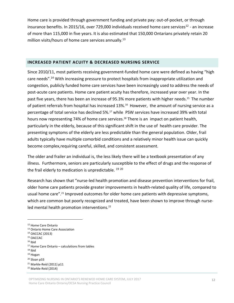Home care is provided through government funding and private pay: out‐of‐pocket, or through insurance benefits. In 2015/16, over 729,000 individuals received home care services<sup>12</sup> - an increase of more than 115,000 in five years. It is also estimated that 150,000 Ontarians privately retain 20 million visits/hours of home care services annually.<sup>13</sup>

#### **INCREASED PATIENT ACUITY & DECREASED NURSING SERVICE**

Since 2010/11, most patients receiving government-funded home care were defined as having "high care needs".14 With increasing pressure to protect hospitals from inappropriate utilization and congestion, publicly funded home care services have been increasingly used to address the needs of post-acute care patients. Home care patient acuity has therefore, increased year over year. In the past five years, there has been an increase of 95.3% more patients with higher needs.<sup>15</sup> The number of patient referrals from hospital has increased 13%.<sup>16</sup> However, the amount of nursing service as a percentage of total service has declined 5%.17 while PSW services have increased 39% with total hours now representing 74% of home care services.<sup>18</sup> There is an impact on patient health, particularly in the elderly, because of this significant shift in the use of health care provider. The presenting symptoms of the elderly are less predictable than the general population. Older, frail adults typically have multiple comorbid conditions and a relatively minor health issue can quickly become complex,requiring careful, skilled, and consistent assessment.

The older and frailer an individual is, the less likely there will be a textbook presentation of any illness. Furthermore, seniors are particularly susceptible to the effect of drugs and the response of the frail elderly to medication is unpredictable.  $1920$ 

Research has shown that "nurse-led health promotion and disease prevention interventions for frail, older home care patients provide greater improvements in health‐related quality of life, compared to usual home care".<sup>21</sup> Improved outcomes for older home care patients with depressive symptoms, which are common but poorly recognized and treated, have been shown to improve through nurseled mental health promotion interventions.<sup>22</sup>

<sup>12</sup> Home Care Ontario

<sup>13</sup> Ontario Home Care Association

<sup>14</sup> OACCAC (2013)

<sup>15</sup> OACCAC

 $16$  Ibid

<sup>17</sup> Home Care Ontario – calculations from tables

 $18$  Ibid

<sup>19</sup> Hogan

<sup>20</sup> Sloan p33

<sup>21</sup> Markle‐Reid (2011) p11

<sup>22</sup> Markle‐Reid (2014)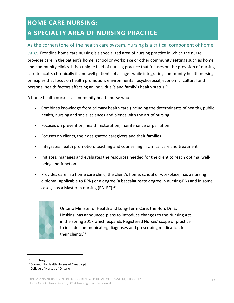# **HOME CARE NURSING: A SPECIALTY AREA OF NURSING PRACTICE**

## As the cornerstone of the health care system, nursing is a critical component of home

care. Frontline home care nursing is a specialized area of nursing practice in which the nurse provides care in the patient's home, school or workplace or other community settings such as home and community clinics. It is a unique field of nursing practice that focuses on the provision of nursing care to acute, chronically ill and well patients of all ages while integrating community health nursing principles that focus on health promotion, environmental, psychosocial, economic, cultural and personal health factors affecting an individual's and family's health status.23

A home health nurse is a community health nurse who:

- Combines knowledge from primary health care (including the determinants of health), public health, nursing and social sciences and blends with the art of nursing
- Focuses on prevention, health restoration, maintenance or palliation
- Focuses on clients, their designated caregivers and their families
- Integrates health promotion, teaching and counselling in clinical care and treatment
- Initiates, manages and evaluates the resources needed for the client to reach optimal well‐ being and function
- Provides care in a home care clinic, the client's home, school or workplace, has a nursing diploma (applicable to RPN) or a degree (a baccalaureate degree in nursing‐RN) and in some cases, has a Master in nursing (RN-EC).<sup>24</sup>



Ontario Minister of Health and Long‐Term Care, the Hon. Dr. E. Hoskins, has announced plans to introduce changes to the Nursing Act in the spring 2017 which expands Registered Nurses' scope of practice to include communicating diagnoses and prescribing medication for their clients. 25

<sup>&</sup>lt;sup>23</sup> Humphrey

<sup>24</sup> Community Health Nurses of Canada p8

<sup>&</sup>lt;sup>25</sup> College of Nurses of Ontario

OPTIMIZING NURSING IN ONTARIO'S RENEWED HOME CARE SYSTEM, JULY 2017 Home Care Ontario Ontario/OCSA Nursing Practice Council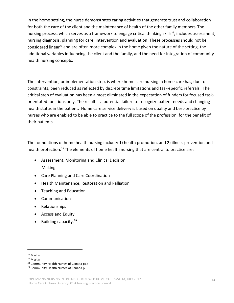In the home setting, the nurse demonstrates caring activities that generate trust and collaboration for both the care of the client and the maintenance of health of the other family members. The nursing process, which serves as a framework to engage critical thinking skills<sup>26</sup>, includes assessment, nursing diagnosis, planning for care, intervention and evaluation. These processes should not be considered linear<sup>27</sup> and are often more complex in the home given the nature of the setting, the additional variables influencing the client and the family, and the need for integration of community health nursing concepts.

The intervention, or implementation step, is where home care nursing in home care has, due to constraints, been reduced as reflected by discrete time limitations and task‐specific referrals. The critical step of evaluation has been almost eliminated in the expectation of funders for focused task‐ orientated functions only. The result is a potential failure to recognize patient needs and changing health status in the patient. Home care service delivery is based on quality and best-practice by nurses who are enabled to be able to practice to the full scope of the profession, for the benefit of their patients.

The foundations of home health nursing include: 1) health promotion, and 2) illness prevention and health protection.<sup>28</sup> The elements of home health nursing that are central to practice are:

- Assessment, Monitoring and Clinical Decision Making
- Care Planning and Care Coordination
- Health Maintenance, Restoration and Palliation
- Teaching and Education
- Communication
- Relationships
- Access and Equity
- $\bullet$  Building capacity.<sup>29</sup>

<sup>26</sup> Martin

<sup>27</sup> Martin

<sup>28</sup> Community Health Nurses of Canada p12

<sup>29</sup> Community Health Nurses of Canada p8

OPTIMIZING NURSING IN ONTARIO'S RENEWED HOME CARE SYSTEM, JULY 2017 Home Care Ontario Ontario/OCSA Nursing Practice Council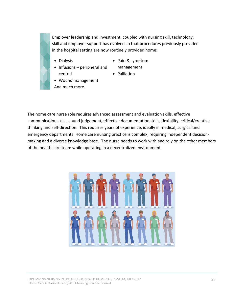Employer leadership and investment, coupled with nursing skill, technology, skill and employer support has evolved so that procedures previously provided in the hospital setting are now routinely provided home:

• Dialysis

- Pain & symptom
- Infusions peripheral and central
- management • Palliation
- Wound management
- And much more.

The home care nurse role requires advanced assessment and evaluation skills, effective communication skills, sound judgement, effective documentation skills, flexibility, critical/creative thinking and self‐direction. This requires years of experience, ideally in medical, surgical and emergency departments. Home care nursing practice is complex, requiring independent decision‐ making and a diverse knowledge base. The nurse needs to work with and rely on the other members of the health care team while operating in a decentralized environment.



OPTIMIZING NURSING IN ONTARIO'S RENEWED HOME CARE SYSTEM, JULY 2017 Home Care Ontario Ontario/OCSA Nursing Practice Council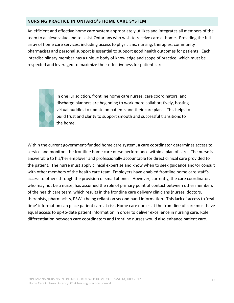#### **NURSING PRACTICE IN ONTARIO'S HOME CARE SYSTEM**

An efficient and effective home care system appropriately utilizes and integrates all members of the team to achieve value and to assist Ontarians who wish to receive care at home. Providing the full array of home care services, including access to physicians, nursing, therapies, community pharmacists and personal support is essential to support good health outcomes for patients. Each interdisciplinary member has a unique body of knowledge and scope of practice, which must be respected and leveraged to maximize their effectiveness for patient care.



In one jurisdiction, frontline home care nurses, care coordinators, and discharge planners are beginning to work more collaboratively, hosting virtual huddles to update on patients and their care plans. This helps to build trust and clarity to support smooth and successful transitions to the home.

Within the current government‐funded home care system, a care coordinator determines access to service and monitors the frontline home care nurse performance within a plan of care. The nurse is answerable to his/her employer and professionally accountable for direct clinical care provided to the patient. The nurse must apply clinical expertise and know when to seek guidance and/or consult with other members of the health care team. Employers have enabled frontline home care staff's access to others through the provision of smartphones. However, currently, the care coordinator, who may not be a nurse, has assumed the role of primary point of contact between other members of the health care team, which results in the frontline care delivery clinicians (nurses, doctors, therapists, pharmacists, PSWs) being reliant on second hand information. This lack of access to 'real‐ time' information can place patient care at risk. Home care nurses at the front line of care must have equal access to up-to-date patient information in order to deliver excellence in nursing care. Role differentiation between care coordinators and frontline nurses would also enhance patient care.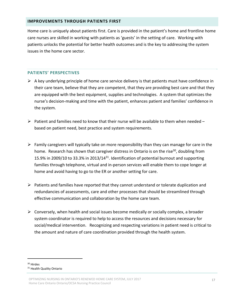#### **IMPROVEMENTS THROUGH PATIENTS FIRST**

Home care is uniquely about patients first. Care is provided in the patient's home and frontline home care nurses are skilled in working with patients as 'guests' in the setting of care. Working with patients unlocks the potential for better health outcomes and is the key to addressing the system issues in the home care sector.

#### **PATIENTS' PERSPECTIVES**

- $\triangleright$  A key underlying principle of home care service delivery is that patients must have confidence in their care team, believe that they are competent, that they are providing best care and that they are equipped with the best equipment, supplies and technologies. A system that optimizes the nurse's decision‐making and time with the patient, enhances patient and families' confidence in the system.
- $\triangleright$  Patient and families need to know that their nurse will be available to them when needed based on patient need, best practice and system requirements.
- $\triangleright$  Family caregivers will typically take on more responsibility than they can manage for care in the home. Research has shown that caregiver distress in Ontario is on the rise<sup>30</sup>, doubling from 15.9% in 2009/10 to 33.3% in 2013/1431. Identification of potential burnout and supporting families through telephone, virtual and in‐person services will enable them to cope longer at home and avoid having to go to the ER or another setting for care.
- $\triangleright$  Patients and families have reported that they cannot understand or tolerate duplication and redundancies of assessments, care and other processes that should be streamlined through effective communication and collaboration by the home care team.
- $\triangleright$  Conversely, when health and social issues become medically or socially complex, a broader system coordinator is required to help to access the resources and decisions necessary for social/medical intervention. Recognizing and respecting variations in patient need is critical to the amount and nature of care coordination provided through the health system.

<sup>30</sup> Hirdes <sup>31</sup> Health Quality Ontario

OPTIMIZING NURSING IN ONTARIO'S RENEWED HOME CARE SYSTEM, JULY 2017 Home Care Ontario Ontario/OCSA Nursing Practice Council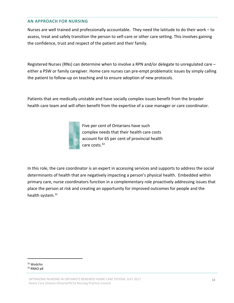#### **AN APPROACH FOR NURSING**

Nurses are well trained and professionally accountable. They need the latitude to do their work – to assess, treat and safely transition the person to self‐care or other care setting. This involves gaining the confidence, trust and respect of the patient and their family.

Registered Nurses (RNs) can determine when to involve a RPN and/or delegate to unregulated care – either a PSW or family caregiver. Home care nurses can pre-empt problematic issues by simply calling the patient to follow‐up on teaching and to ensure adoption of new protocols.

Patients that are medically unstable and have socially complex issues benefit from the broader health care team and will often benefit from the expertise of a case manager or care coordinator.



Five per cent of Ontarians have such complex needs that their health care costs account for 65 per cent of provincial health care costs.32

In this role, the care coordinator is an expert in accessing services and supports to address the social determinants of health that are negatively impacting a person's physical health. Embedded within primary care, nurse coordinators function in a complementary role proactively addressing issues that place the person at risk and creating an opportunity for improved outcomes for people and the health system.<sup>33</sup>

<sup>32</sup> Wodchis <sup>33</sup> RNAO p8

OPTIMIZING NURSING IN ONTARIO'S RENEWED HOME CARE SYSTEM, JULY 2017 Home Care Ontario Ontario/OCSA Nursing Practice Council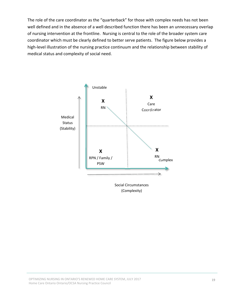The role of the care coordinator as the "quarterback" for those with complex needs has not been well defined and in the absence of a well described function there has been an unnecessary overlap of nursing intervention at the frontline. Nursing is central to the role of the broader system care coordinator which must be clearly defined to better serve patients. The figure below provides a high-level illustration of the nursing practice continuum and the relationship between stability of medical status and complexity of social need.



(Complexity)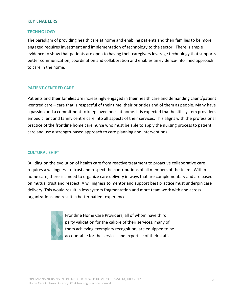#### **KEY ENABLERS**

#### **TECHNOLOGY**

The paradigm of providing health care at home and enabling patients and their families to be more engaged requires investment and implementation of technology to the sector. There is ample evidence to show that patients are open to having their caregivers leverage technology that supports better communication, coordination and collaboration and enables an evidence‐informed approach to care in the home.

#### **PATIENT‐CENTRED CARE**

Patients and their families are increasingly engaged in their health care and demanding client/patient ‐centred care – care that is respectful of their time, their priorities and of them as people. Many have a passion and a commitment to keep loved ones at home. It is expected that health system providers embed client and family centre care into all aspects of their services. This aligns with the professional practice of the frontline home care nurse who must be able to apply the nursing process to patient care and use a strength‐based approach to care planning and interventions.

#### **CULTURAL SHIFT**

Building on the evolution of health care from reactive treatment to proactive collaborative care requires a willingness to trust and respect the contributions of all members of the team. Within home care, there is a need to organize care delivery in ways that are complementary and are based on mutual trust and respect. A willingness to mentor and support best practice must underpin care delivery. This would result in less system fragmentation and more team work with and across organizations and result in better patient experience.



Frontline Home Care Providers, all of whom have third party validation for the calibre of their services, many of them achieving exemplary recognition, are equipped to be accountable for the services and expertise of their staff.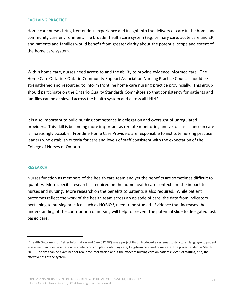#### **EVOLVING PRACTICE**

Home care nurses bring tremendous experience and insight into the delivery of care in the home and community care environment. The broader health care system (e.g. primary care, acute care and ER) and patients and families would benefit from greater clarity about the potential scope and extent of the home care system.

Within home care, nurses need access to and the ability to provide evidence informed care. The Home Care Ontario / Ontario Community Support Association Nursing Practice Council should be strengthened and resourced to inform frontline home care nursing practice provincially. This group should participate on the Ontario Quality Standards Committee so that consistency for patients and families can be achieved across the health system and across all LHINS.

It is also important to build nursing competence in delegation and oversight of unregulated providers. This skill is becoming more important as remote monitoring and virtual assistance in care is increasingly possible. Frontline Home Care Providers are responsible to institute nursing practice leaders who establish criteria for care and levels of staff consistent with the expectation of the College of Nurses of Ontario.

#### **RESEARCH**

Nurses function as members of the health care team and yet the benefits are sometimes difficult to quantify. More specific research is required on the home health care context and the impact to nurses and nursing. More research on the benefits to patients is also required. While patient outcomes reflect the work of the health team across an episode of care, the data from indicators pertaining to nursing practice, such as HOBIC<sup>34</sup>, need to be studied. Evidence that increases the understanding of the contribution of nursing will help to prevent the potential slide to delegated task based care.

<sup>&</sup>lt;sup>34</sup> Health Outcomes for Better Information and Care (HOBIC) was a project that introduced a systematic, structured language to patient assessment and documentation, in acute care, complex continuing care, long‐term care and home care. The project ended in March 2016. The data can be examined for real-time information about the effect of nursing care on patients; levels of staffing; and, the effectiveness of the system.

OPTIMIZING NURSING IN ONTARIO'S RENEWED HOME CARE SYSTEM, JULY 2017 Home Care Ontario Ontario/OCSA Nursing Practice Council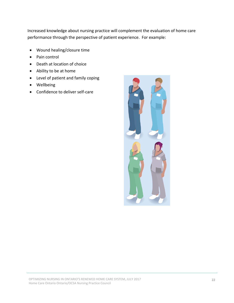Increased knowledge about nursing practice will complement the evaluation of home care performance through the perspective of patient experience. For example:

- Wound healing/closure time
- Pain control
- Death at location of choice
- Ability to be at home
- Level of patient and family coping
- Wellbeing
- Confidence to deliver self-care

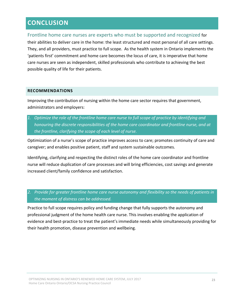## **CONCLUSION**

Frontline home care nurses are experts who must be supported and recognized for their abilities to deliver care in the home: the least structured and most personal of all care settings. They, and all providers, must practice to full scope. As the health system in Ontario implements the 'patients first' commitment and home care becomes the locus of care, it is imperative that home care nurses are seen as independent, skilled professionals who contribute to achieving the best possible quality of life for their patients.

#### **RECOMMENDATIONS**

Improving the contribution of nursing within the home care sector requires that government, administrators and employers:

*1. Optimize the role of the frontline home care nurse to full scope of practice by identifying and honouring the discrete responsibilities of the home care coordinator and frontline nurse, and at the frontline, clarifying the scope of each level of nurse.*

Optimization of a nurse's scope of practice improves access to care; promotes continuity of care and caregiver; and enables positive patient, staff and system sustainable outcomes.

Identifying, clarifying and respecting the distinct roles of the home care coordinator and frontline nurse will reduce duplication of care processes and will bring efficiencies, cost savings and generate increased client/family confidence and satisfaction.

*2. Provide for greater frontline home care nurse autonomy and flexibility so the needs of patients in the moment of distress can be addressed.*

Practice to full scope requires policy and funding change that fully supports the autonomy and professional judgment of the home health care nurse. This involves enabling the application of evidence and best‐practice to treat the patient's immediate needs while simultaneously providing for their health promotion, disease prevention and wellbeing.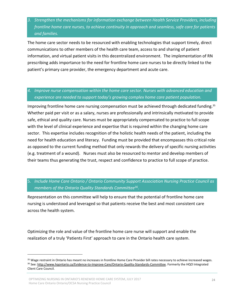*3. Strengthen the mechanisms for information exchange between Health Service Providers, including frontline home care nurses, to achieve continuity in approach and seamless, safe care for patients and families.*

The home care sector needs to be resourced with enabling technologies that support timely, direct communications to other members of the health care team, access to and sharing of patient information, and virtual patient visits in this decentralized environment. The implementation of RN prescribing adds importance to the need for frontline home care nurses to be directly linked to the patient's primary care provider, the emergency department and acute care.

### *4. Improve nurse compensation within the home care sector. Nurses with advanced education and experience are needed to support today's growing complex home care patient population.*

Improving frontline home care nursing compensation must be achieved through dedicated funding.35 Whether paid per visit or as a salary, nurses are professionally and intrinsically motivated to provide safe, ethical and quality care. Nurses must be appropriately compensated to practice to full scope with the level of clinical experience and expertise that is required within the changing home care sector. This expertise includes recognition of the holistic health needs of the patient, including the need for health education and literacy. Funding must be provided that encompasses this critical role as opposed to the current funding method that only rewards the delivery of specific nursing activities (e.g. treatment of a wound). Nurses must also be resourced to mentor and develop members of their teams thus generating the trust, respect and confidence to practice to full scope of practice.

### 5. *Include Home Care Ontario / Ontario Community Support Association Nursing Practice Council as members of the Ontario Quality Standards Committee36*.

Representation on this committee will help to ensure that the potential of frontline home care nursing is understood and leveraged so that patients receive the best and most consistent care across the health system.

Optimizing the role and value of the frontline home care nurse will support and enable the realization of a truly 'Patients First' approach to care in the Ontario health care system.

<sup>&</sup>lt;sup>35</sup> Wage restraint in Ontario has meant no increases in frontline Home Care Provider bill rates necessary to achieve increased wages. 36 See: http://www.hqontario.ca/Evidence-to-Improve-Care/Ontario-Quality-Standards-Committee. Formerly the HQO Integrated Client Care Council.

OPTIMIZING NURSING IN ONTARIO'S RENEWED HOME CARE SYSTEM, JULY 2017 Home Care Ontario Ontario/OCSA Nursing Practice Council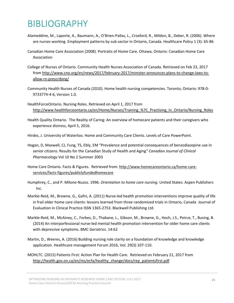# BIBLIOGRAPHY

- Alameddine, M., Laporte, A., Baumann, A., O'Brien‐Pallas, L., Croxford, R., Mildon, B., Deber, R. (2006). Where are nurses working. Employment patterns by sub-sector in Ontario, Canada. Healthcare Policy 1 (3): 65-86
- Canadian Home Care Association (2008). Portraits of Home Care. Ottawa, Ontario: Canadian Home Care Association
- College of Nurses of Ontario. Community Health Nurses Association of Canada. Retrieved on Feb 23, 2017 from http://www.cno.org/en/news/2017/february-2017/minister-announces-plans-to-change-laws-toallow‐rn‐prescribing/
- Community Health Nurses of Canada (2010). Home health nursing competencies. Toronto, Ontario: 978‐0‐ 9733774‐4‐6, Version 1.0.
- HealthForceOntario. Nursing Roles. Retrieved on April 1, 2017 from http://www.healthforceontario.ca/en/Home/Nurses/Training %7C\_Practising\_In\_Ontario/Nursing\_Roles
- Health Quality Ontario. The Reality of Caring: An overview of homecare patients and their caregivers who experience distress, April 5, 2016.
- Hirdes, J. University of Waterloo. Home and Community Care Clients. Levels of Care PowerPoint.
- Hogan, D, Maxwell, CJ, Fung, TS, Ebly, EM "Prevalence and potential consequences of benzodiazepine use in senior citizens: Results for the Canadian Study of Health and Aging*" Canadian Journal of Clinical Pharmacology* Vol 10 No 2 Summer 2003
- Home Care Ontario. Facts & Figures. Retrieved from: http://www.homecareontario.ca/home-careservices/facts‐figures/publiclyfundedhomecare
- Humphrey, C., and P. Milone‐Nuzzo. 1996. *Orientation to home care nursing*. United States: Aspen Publishers Inc.
- Markle‐Reid, M., Browne, G., Gafni, A. (2011) Nurse‐led health promotion interventions improve quality of life in frail older home care clients: lessons learned from three randomized trials in Ontario, Canada. Journal of Evaluation in Clinical Practice ISSN 1365‐2753. Blackwell Publishing Ltd.
- Markle‐Reid, M., McAiney, C., Forbes, D., Thabane, L., Gibson, M., Browne, G., Hoch, J.S., Peirce, T., Busing, B. (2014) An interporfessional nurse‐led mental health promotion intervention for older home care clients with depressive symptoms. BMC Geriatrics. 14:62
- Martin, D., Weeres, A. (2016) Building nursing role clarity on a foundation of knowledge and knowledge application. Healthcare management Forum 2016, Vol. 29(3) 107‐110.
- MOHLTC. (2015) Patients First: Action Plan for Health Care. Retrieved on February 21, 2017 from http://health.gov.on.ca/en/ms/ecfa/healthy\_change/docs/rep\_patientsfirst.pdf